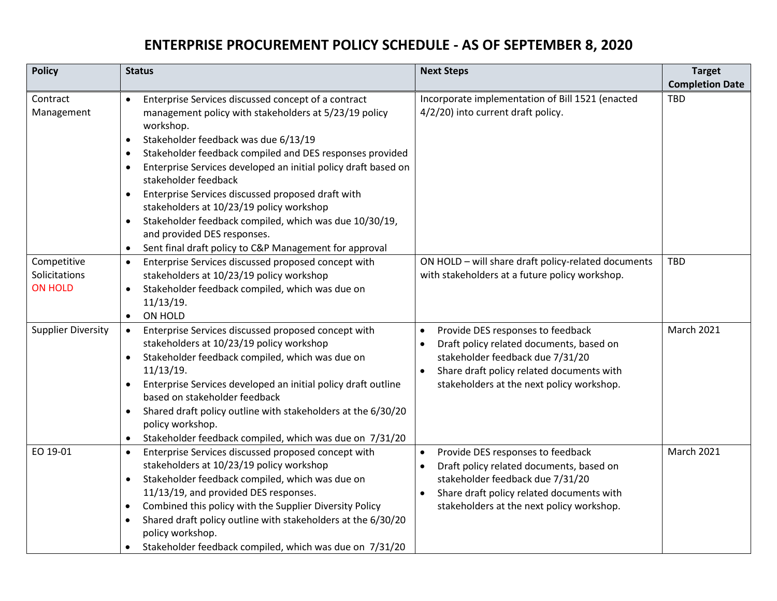## **ENTERPRISE PROCUREMENT POLICY SCHEDULE - AS OF SEPTEMBER 8, 2020**

| <b>Policy</b>                                  | <b>Status</b>                                                                                                                                                                                                                                                                                                                                                                                                                                                                                                                                                    | <b>Next Steps</b>                                                                                                                                                                                                                     | <b>Target</b>          |
|------------------------------------------------|------------------------------------------------------------------------------------------------------------------------------------------------------------------------------------------------------------------------------------------------------------------------------------------------------------------------------------------------------------------------------------------------------------------------------------------------------------------------------------------------------------------------------------------------------------------|---------------------------------------------------------------------------------------------------------------------------------------------------------------------------------------------------------------------------------------|------------------------|
|                                                |                                                                                                                                                                                                                                                                                                                                                                                                                                                                                                                                                                  |                                                                                                                                                                                                                                       | <b>Completion Date</b> |
| Contract<br>Management                         | Enterprise Services discussed concept of a contract<br>$\bullet$<br>management policy with stakeholders at 5/23/19 policy<br>workshop.<br>Stakeholder feedback was due 6/13/19<br>$\bullet$<br>Stakeholder feedback compiled and DES responses provided<br>$\bullet$<br>Enterprise Services developed an initial policy draft based on<br>$\bullet$<br>stakeholder feedback<br>Enterprise Services discussed proposed draft with<br>$\bullet$<br>stakeholders at 10/23/19 policy workshop<br>Stakeholder feedback compiled, which was due 10/30/19,<br>$\bullet$ | Incorporate implementation of Bill 1521 (enacted<br>4/2/20) into current draft policy.                                                                                                                                                | <b>TBD</b>             |
|                                                | and provided DES responses.<br>Sent final draft policy to C&P Management for approval<br>$\bullet$                                                                                                                                                                                                                                                                                                                                                                                                                                                               |                                                                                                                                                                                                                                       |                        |
| Competitive<br>Solicitations<br><b>ON HOLD</b> | Enterprise Services discussed proposed concept with<br>$\bullet$<br>stakeholders at 10/23/19 policy workshop<br>Stakeholder feedback compiled, which was due on<br>$\bullet$<br>11/13/19.<br>ON HOLD<br>$\bullet$                                                                                                                                                                                                                                                                                                                                                | ON HOLD - will share draft policy-related documents<br>with stakeholders at a future policy workshop.                                                                                                                                 | <b>TBD</b>             |
| <b>Supplier Diversity</b>                      | Enterprise Services discussed proposed concept with<br>$\bullet$<br>stakeholders at 10/23/19 policy workshop<br>Stakeholder feedback compiled, which was due on<br>$\bullet$<br>11/13/19.<br>Enterprise Services developed an initial policy draft outline<br>based on stakeholder feedback<br>Shared draft policy outline with stakeholders at the 6/30/20<br>$\bullet$<br>policy workshop.<br>Stakeholder feedback compiled, which was due on 7/31/20<br>$\bullet$                                                                                             | Provide DES responses to feedback<br>$\bullet$<br>Draft policy related documents, based on<br>stakeholder feedback due 7/31/20<br>Share draft policy related documents with<br>$\bullet$<br>stakeholders at the next policy workshop. | <b>March 2021</b>      |
| EO 19-01                                       | Enterprise Services discussed proposed concept with<br>$\bullet$<br>stakeholders at 10/23/19 policy workshop<br>Stakeholder feedback compiled, which was due on<br>$\bullet$<br>11/13/19, and provided DES responses.<br>Combined this policy with the Supplier Diversity Policy<br>$\bullet$<br>Shared draft policy outline with stakeholders at the 6/30/20<br>$\bullet$<br>policy workshop.<br>Stakeholder feedback compiled, which was due on 7/31/20<br>$\bullet$                                                                                           | Provide DES responses to feedback<br>$\bullet$<br>Draft policy related documents, based on<br>stakeholder feedback due 7/31/20<br>Share draft policy related documents with<br>$\bullet$<br>stakeholders at the next policy workshop. | March 2021             |